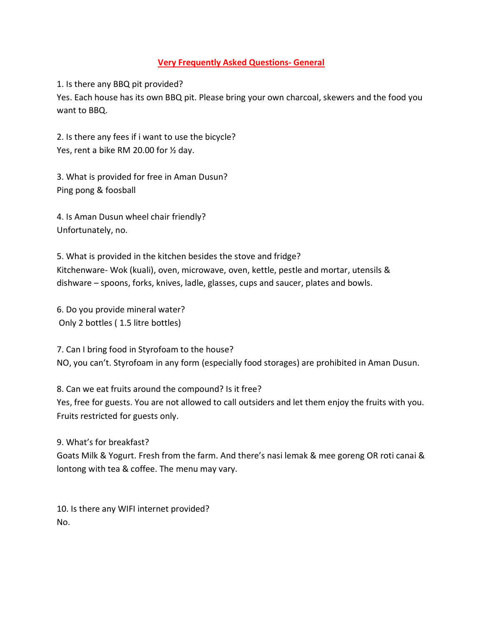## **Very Frequently Asked Questions- General**

1. Is there any BBQ pit provided?

Yes. Each house has its own BBQ pit. Please bring your own charcoal, skewers and the food you want to BBQ.

2. Is there any fees if i want to use the bicycle? Yes, rent a bike RM 20.00 for ½ day.

3. What is provided for free in Aman Dusun? Ping pong & foosball

4. Is Aman Dusun wheel chair friendly? Unfortunately, no.

5. What is provided in the kitchen besides the stove and fridge? Kitchenware- Wok (kuali), oven, microwave, oven, kettle, pestle and mortar, utensils & dishware – spoons, forks, knives, ladle, glasses, cups and saucer, plates and bowls.

6. Do you provide mineral water? Only 2 bottles ( 1.5 litre bottles)

7. Can I bring food in Styrofoam to the house? NO, you can't. Styrofoam in any form (especially food storages) are prohibited in Aman Dusun.

8. Can we eat fruits around the compound? Is it free? Yes, free for guests. You are not allowed to call outsiders and let them enjoy the fruits with you. Fruits restricted for guests only.

9. What's for breakfast? Goats Milk & Yogurt. Fresh from the farm. And there's nasi lemak & mee goreng OR roti canai & lontong with tea & coffee. The menu may vary.

10. Is there any WIFI internet provided? No.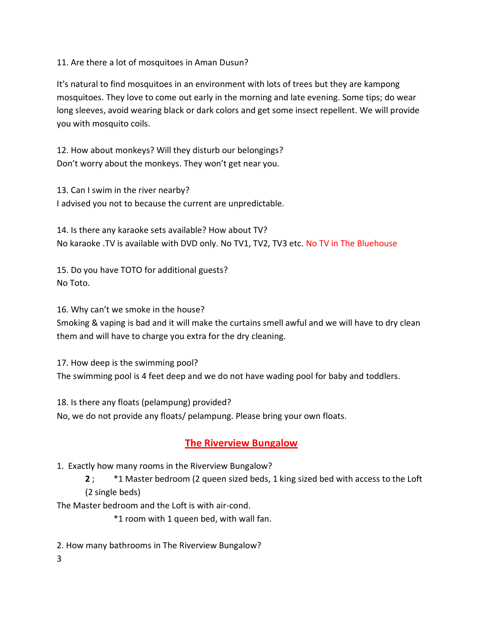11. Are there a lot of mosquitoes in Aman Dusun?

It's natural to find mosquitoes in an environment with lots of trees but they are kampong mosquitoes. They love to come out early in the morning and late evening. Some tips; do wear long sleeves, avoid wearing black or dark colors and get some insect repellent. We will provide you with mosquito coils.

12. How about monkeys? Will they disturb our belongings? Don't worry about the monkeys. They won't get near you.

13. Can I swim in the river nearby? I advised you not to because the current are unpredictable.

14. Is there any karaoke sets available? How about TV? No karaoke .TV is available with DVD only. No TV1, TV2, TV3 etc. No TV in The Bluehouse

15. Do you have TOTO for additional guests? No Toto.

16. Why can't we smoke in the house?

Smoking & vaping is bad and it will make the curtains smell awful and we will have to dry clean them and will have to charge you extra for the dry cleaning.

17. How deep is the swimming pool? The swimming pool is 4 feet deep and we do not have wading pool for baby and toddlers.

18. Is there any floats (pelampung) provided?

No, we do not provide any floats/ pelampung. Please bring your own floats.

## **The Riverview Bungalow**

1. Exactly how many rooms in the Riverview Bungalow?

**2** ; \*1 Master bedroom (2 queen sized beds, 1 king sized bed with access to the Loft (2 single beds)

The Master bedroom and the Loft is with air-cond.

\*1 room with 1 queen bed, with wall fan.

2. How many bathrooms in The Riverview Bungalow?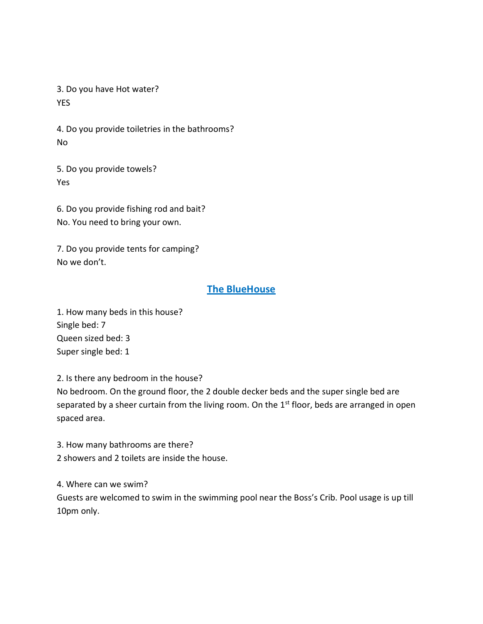3. Do you have Hot water? YES

4. Do you provide toiletries in the bathrooms? No

5. Do you provide towels? Yes

6. Do you provide fishing rod and bait? No. You need to bring your own.

7. Do you provide tents for camping? No we don't.

## **The BlueHouse**

1. How many beds in this house? Single bed: 7 Queen sized bed: 3 Super single bed: 1

2. Is there any bedroom in the house?

No bedroom. On the ground floor, the 2 double decker beds and the super single bed are separated by a sheer curtain from the living room. On the 1<sup>st</sup> floor, beds are arranged in open spaced area.

3. How many bathrooms are there? 2 showers and 2 toilets are inside the house.

4. Where can we swim?

Guests are welcomed to swim in the swimming pool near the Boss's Crib. Pool usage is up till 10pm only.